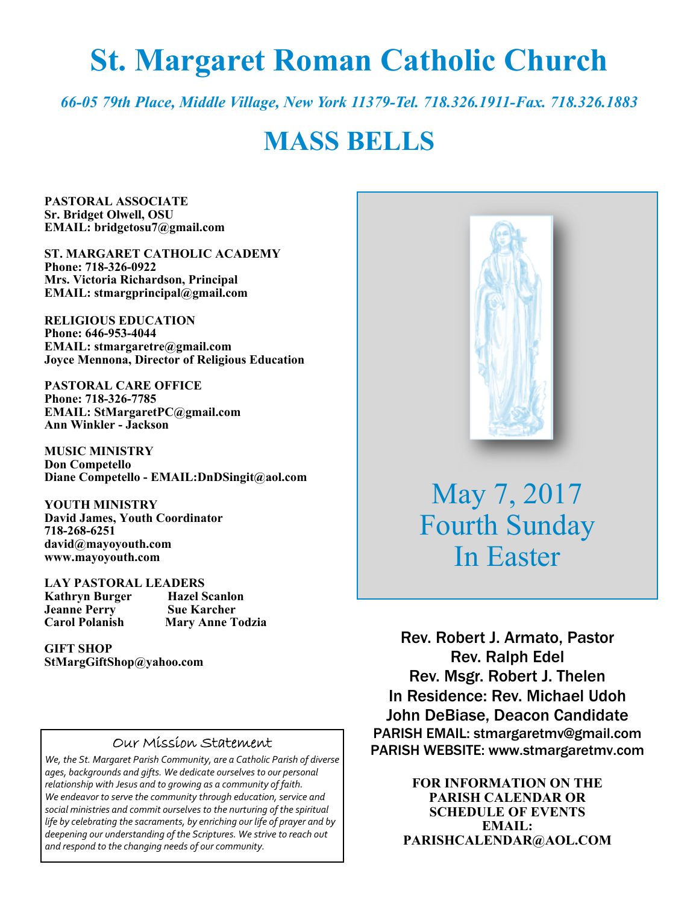# **St. Margaret Roman Catholic Church**

*66-05 79th Place, Middle Village, New York 11379-Tel. 718.326.1911-Fax. 718.326.1883* 

# **MASS BELLS**

**PASTORAL ASSOCIATE Sr. Bridget Olwell, OSU EMAIL: bridgetosu7@gmail.com** 

**ST. MARGARET CATHOLIC ACADEMY Phone: 718-326-0922 Mrs. Victoria Richardson, Principal EMAIL: stmargprincipal@gmail.com** 

**RELIGIOUS EDUCATION Phone: 646-953-4044 EMAIL: stmargaretre@gmail.com Joyce Mennona, Director of Religious Education** 

**PASTORAL CARE OFFICE Phone: 718-326-7785 EMAIL: StMargaretPC@gmail.com Ann Winkler - Jackson** 

**MUSIC MINISTRY Don Competello Diane Competello - EMAIL:DnDSingit@aol.com** 

**YOUTH MINISTRY David James, Youth Coordinator 718-268-6251 david@mayoyouth.com www.mayoyouth.com** 

**LAY PASTORAL LEADERS Kathryn Burger Hazel Scanlon Jeanne Perry Carol Polanish Mary Anne Todzia** 

**GIFT SHOP StMargGiftShop@yahoo.com**

#### Our Mission Statement

*We, the St. Margaret Parish Community, are a Catholic Parish of diverse ages, backgrounds and gifts. We dedicate ourselves to our personal relationship with Jesus and to growing as a community of faith. We endeavor to serve the community through education, service and social ministries and commit ourselves to the nurturing of the spiritual life by celebrating the sacraments, by enriching our life of prayer and by deepening our understanding of the Scriptures. We strive to reach out and respond to the changing needs of our community.*



May 7, 2017 Fourth Sunday In Easter

Rev. Robert J. Armato, Pastor Rev. Ralph Edel Rev. Msgr. Robert J. Thelen In Residence: Rev. Michael Udoh John DeBiase, Deacon Candidate PARISH EMAIL: stmargaretmv@gmail.com PARISH WEBSITE: www.stmargaretmv.com

> **FOR INFORMATION ON THE PARISH CALENDAR OR SCHEDULE OF EVENTS EMAIL: PARISHCALENDAR@AOL.COM**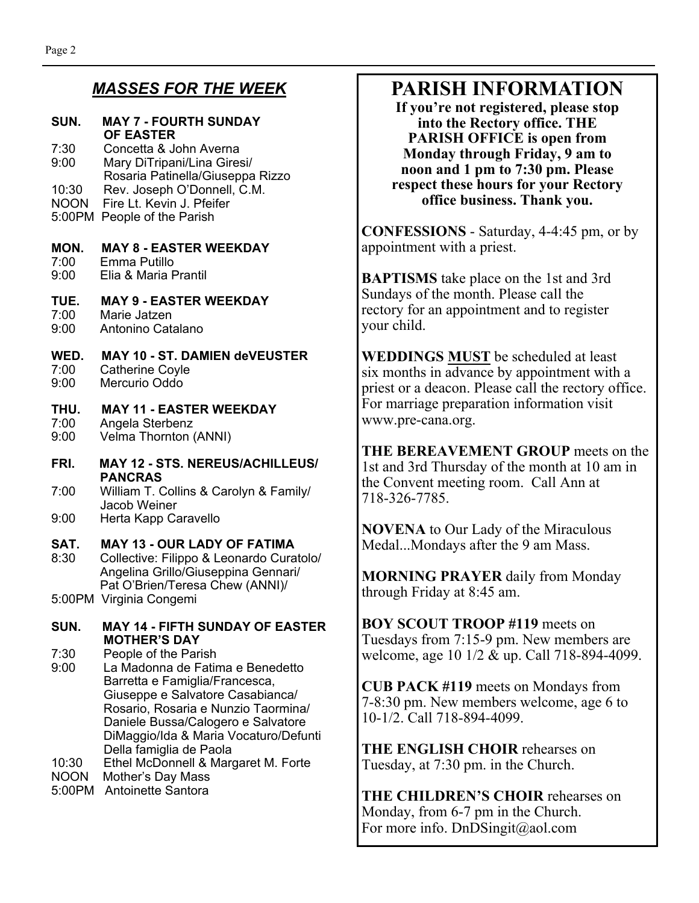### *MASSES FOR THE WEEK*

#### **SUN. MAY 7 - FOURTH SUNDAY OF EASTER**

7:30 Concetta & John Averna 9:00 Mary DiTripani/Lina Giresi/ Rosaria Patinella/Giuseppa Rizzo 10:30 Rev. Joseph O'Donnell, C.M. NOON Fire Lt. Kevin J. Pfeifer

- 5:00PM People of the Parish
- 

#### **MON. MAY 8 - EASTER WEEKDAY**

- 7:00 Emma Putillo
- 9:00 Elia & Maria Prantil

### **TUE. MAY 9 - EASTER WEEKDAY**

- 7:00 Marie Jatzen
- 9:00 Antonino Catalano

# **WED. MAY 10 - ST. DAMIEN deVEUSTER**

- 7:00 Catherine Coyle<br>9:00 Mercurio Oddo Mercurio Oddo
- **THU. MAY 11 EASTER WEEKDAY**  7:00 Angela Sterbenz
- 9:00 Velma Thornton (ANNI)
- **FRI. MAY 12 STS. NEREUS/ACHILLEUS/ PANCRAS**
- 7:00 William T. Collins & Carolyn & Family/ Jacob Weiner
- 9:00 Herta Kapp Caravello

#### **SAT. MAY 13 - OUR LADY OF FATIMA**

8:30 Collective: Filippo & Leonardo Curatolo/ Angelina Grillo/Giuseppina Gennari/ Pat O'Brien/Teresa Chew (ANNI)/ 5:00PM Virginia Congemi

#### **SUN. MAY 14 - FIFTH SUNDAY OF EASTER MOTHER'S DAY**

7:30 People of the Parish

- 9:00 La Madonna de Fatima e Benedetto Barretta e Famiglia/Francesca, Giuseppe e Salvatore Casabianca/ Rosario, Rosaria e Nunzio Taormina/ Daniele Bussa/Calogero e Salvatore DiMaggio/Ida & Maria Vocaturo/Defunti Della famiglia de Paola 10:30 Ethel McDonnell & Margaret M. Forte
- NOON Mother's Day Mass
- 5:00PM Antoinette Santora

## **PARISH INFORMATION**

**If you're not registered, please stop into the Rectory office. THE PARISH OFFICE is open from Monday through Friday, 9 am to noon and 1 pm to 7:30 pm. Please respect these hours for your Rectory office business. Thank you.** 

**CONFESSIONS** - Saturday, 4-4:45 pm, or by appointment with a priest.

**BAPTISMS** take place on the 1st and 3rd Sundays of the month. Please call the rectory for an appointment and to register your child.

**WEDDINGS MUST** be scheduled at least six months in advance by appointment with a priest or a deacon. Please call the rectory office. For marriage preparation information visit www.pre-cana.org.

**THE BEREAVEMENT GROUP** meets on the 1st and 3rd Thursday of the month at 10 am in the Convent meeting room. Call Ann at 718-326-7785.

**NOVENA** to Our Lady of the Miraculous Medal...Mondays after the 9 am Mass.

**MORNING PRAYER** daily from Monday through Friday at 8:45 am.

**BOY SCOUT TROOP #119** meets on Tuesdays from 7:15-9 pm. New members are welcome, age 10 1/2 & up. Call 718-894-4099.

**CUB PACK #119** meets on Mondays from 7-8:30 pm. New members welcome, age 6 to 10-1/2. Call 718-894-4099.

**THE ENGLISH CHOIR** rehearses on Tuesday, at 7:30 pm. in the Church.

**THE CHILDREN'S CHOIR** rehearses on Monday, from 6-7 pm in the Church. For more info. DnDSingit@aol.com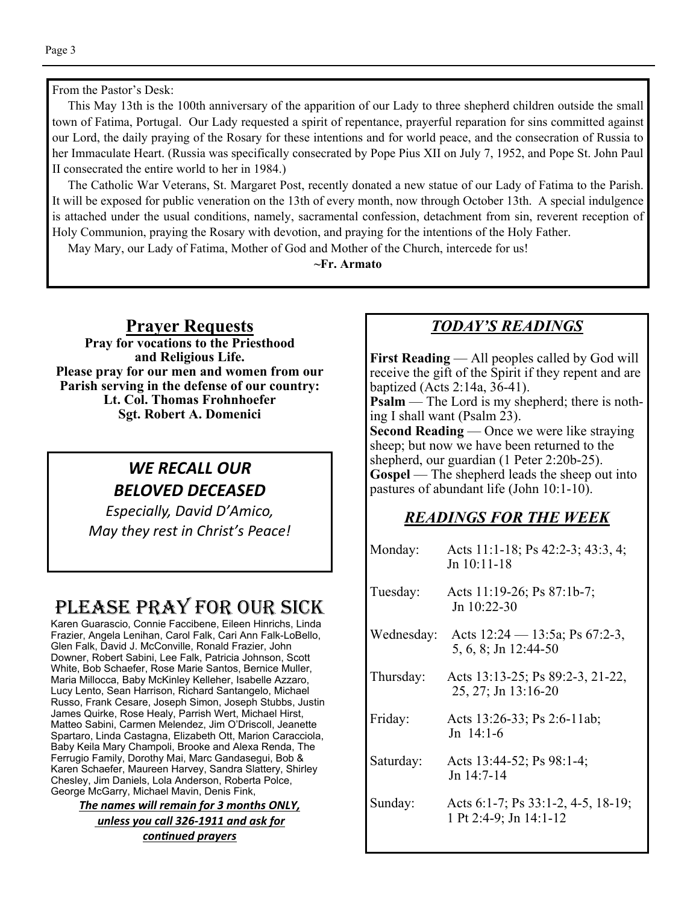From the Pastor's Desk:

 This May 13th is the 100th anniversary of the apparition of our Lady to three shepherd children outside the small town of Fatima, Portugal. Our Lady requested a spirit of repentance, prayerful reparation for sins committed against our Lord, the daily praying of the Rosary for these intentions and for world peace, and the consecration of Russia to her Immaculate Heart. (Russia was specifically consecrated by Pope Pius XII on July 7, 1952, and Pope St. John Paul II consecrated the entire world to her in 1984.)

 The Catholic War Veterans, St. Margaret Post, recently donated a new statue of our Lady of Fatima to the Parish. It will be exposed for public veneration on the 13th of every month, now through October 13th. A special indulgence is attached under the usual conditions, namely, sacramental confession, detachment from sin, reverent reception of Holy Communion, praying the Rosary with devotion, and praying for the intentions of the Holy Father.

May Mary, our Lady of Fatima, Mother of God and Mother of the Church, intercede for us!

**~Fr. Armato** 

#### **Prayer Requests**

**Pray for vocations to the Priesthood and Religious Life. Please pray for our men and women from our Parish serving in the defense of our country: Lt. Col. Thomas Frohnhoefer Sgt. Robert A. Domenici** 

## *WE RECALL OUR BELOVED DECEASED*

*Especially, David D'Amico, May they rest in Christ's Peace!* 

## PLEASE PRAY FOR OUR SICK

Karen Guarascio, Connie Faccibene, Eileen Hinrichs, Linda Frazier, Angela Lenihan, Carol Falk, Cari Ann Falk-LoBello, Glen Falk, David J. McConville, Ronald Frazier, John Downer, Robert Sabini, Lee Falk, Patricia Johnson, Scott White, Bob Schaefer, Rose Marie Santos, Bernice Muller, Maria Millocca, Baby McKinley Kelleher, Isabelle Azzaro, Lucy Lento, Sean Harrison, Richard Santangelo, Michael Russo, Frank Cesare, Joseph Simon, Joseph Stubbs, Justin James Quirke, Rose Healy, Parrish Wert, Michael Hirst, Matteo Sabini, Carmen Melendez, Jim O'Driscoll, Jeanette Spartaro, Linda Castagna, Elizabeth Ott, Marion Caracciola, Baby Keila Mary Champoli, Brooke and Alexa Renda, The Ferrugio Family, Dorothy Mai, Marc Gandasegui, Bob & Karen Schaefer, Maureen Harvey, Sandra Slattery, Shirley Chesley, Jim Daniels, Lola Anderson, Roberta Polce, George McGarry, Michael Mavin, Denis Fink,

*The names will remain for 3 months ONLY, unless you call 326-1911 and ask for conƟnued prayers*

#### *TODAY'S READINGS*

**First Reading** — All peoples called by God will receive the gift of the Spirit if they repent and are baptized (Acts 2:14a, 36-41).

**Psalm** — The Lord is my shepherd; there is nothing I shall want (Psalm 23).

**Second Reading** — Once we were like straying sheep; but now we have been returned to the shepherd, our guardian (1 Peter 2:20b-25). Gospel — The shepherd leads the sheep out into pastures of abundant life (John 10:1-10).

#### *READINGS FOR THE WEEK*

| Monday:    | Acts 11:1-18; Ps 42:2-3; 43:3, 4;<br>$Jn 10:11-18$           |  |
|------------|--------------------------------------------------------------|--|
| Tuesday:   | Acts 11:19-26; Ps 87:1b-7;<br>Jn $10:22-30$                  |  |
| Wednesday: | Acts $12:24 - 13:5a$ ; Ps 67:2-3,<br>5, 6, 8; Jn 12:44-50    |  |
| Thursday:  | Acts 13:13-25; Ps 89:2-3, 21-22,<br>25, 27; Jn 13:16-20      |  |
| Friday:    | Acts 13:26-33; Ps 2:6-11ab;<br>Jn $14:1-6$                   |  |
| Saturday:  | Acts 13:44-52; Ps 98:1-4;<br>Jn $14:7-14$                    |  |
| Sunday:    | Acts 6:1-7; Ps 33:1-2, 4-5, 18-19;<br>1 Pt 2:4-9; Jn 14:1-12 |  |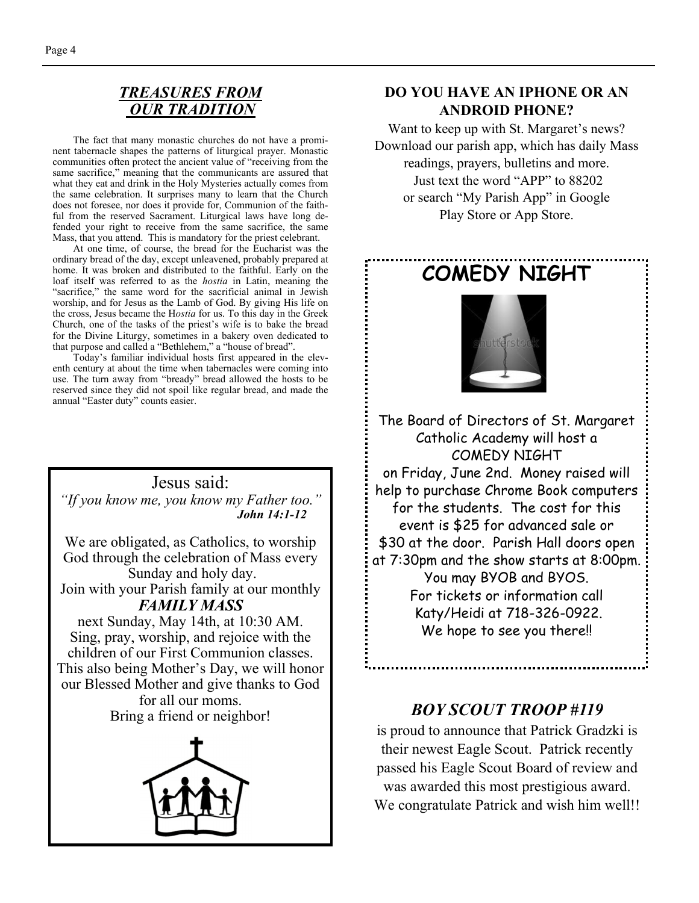#### *TREASURES FROM OUR TRADITION*

The fact that many monastic churches do not have a prominent tabernacle shapes the patterns of liturgical prayer. Monastic communities often protect the ancient value of "receiving from the same sacrifice," meaning that the communicants are assured that what they eat and drink in the Holy Mysteries actually comes from the same celebration. It surprises many to learn that the Church does not foresee, nor does it provide for, Communion of the faithful from the reserved Sacrament. Liturgical laws have long defended your right to receive from the same sacrifice, the same Mass, that you attend. This is mandatory for the priest celebrant.

 At one time, of course, the bread for the Eucharist was the ordinary bread of the day, except unleavened, probably prepared at home. It was broken and distributed to the faithful. Early on the loaf itself was referred to as the *hostia* in Latin, meaning the "sacrifice," the same word for the sacrificial animal in Jewish worship, and for Jesus as the Lamb of God. By giving His life on the cross, Jesus became the H*ostia* for us. To this day in the Greek Church, one of the tasks of the priest's wife is to bake the bread for the Divine Liturgy, sometimes in a bakery oven dedicated to that purpose and called a "Bethlehem," a "house of bread".

 Today's familiar individual hosts first appeared in the eleventh century at about the time when tabernacles were coming into use. The turn away from "bready" bread allowed the hosts to be reserved since they did not spoil like regular bread, and made the annual "Easter duty" counts easier.

#### Jesus said: *"If you know me, you know my Father too." John 14:1-12*

We are obligated, as Catholics, to worship God through the celebration of Mass every Sunday and holy day. Join with your Parish family at our monthly *FAMILY MASS*  next Sunday, May 14th, at 10:30 AM.

Sing, pray, worship, and rejoice with the children of our First Communion classes. This also being Mother's Day, we will honor our Blessed Mother and give thanks to God for all our moms.

Bring a friend or neighbor!



#### **DO YOU HAVE AN IPHONE OR AN ANDROID PHONE?**

Want to keep up with St. Margaret's news? Download our parish app, which has daily Mass readings, prayers, bulletins and more. Just text the word "APP" to 88202 or search "My Parish App" in Google Play Store or App Store.



### *BOY SCOUT TROOP #119*

is proud to announce that Patrick Gradzki is their newest Eagle Scout. Patrick recently passed his Eagle Scout Board of review and was awarded this most prestigious award. We congratulate Patrick and wish him well!!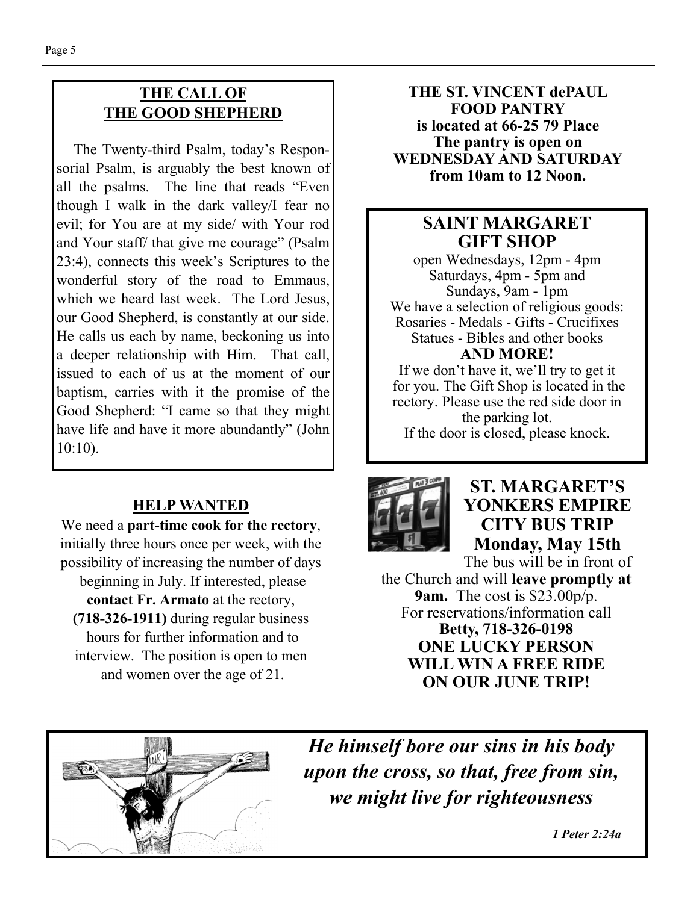## **THE CALL OF THE GOOD SHEPHERD**

 The Twenty-third Psalm, today's Responsorial Psalm, is arguably the best known of all the psalms. The line that reads "Even though I walk in the dark valley/I fear no evil; for You are at my side/ with Your rod and Your staff/ that give me courage" (Psalm 23:4), connects this week's Scriptures to the wonderful story of the road to Emmaus, which we heard last week. The Lord Jesus, our Good Shepherd, is constantly at our side. He calls us each by name, beckoning us into a deeper relationship with Him. That call, issued to each of us at the moment of our baptism, carries with it the promise of the Good Shepherd: "I came so that they might have life and have it more abundantly" (John 10:10).

## **HELP WANTED**

We need a **part-time cook for the rectory**, initially three hours once per week, with the possibility of increasing the number of days beginning in July. If interested, please

**contact Fr. Armato** at the rectory, **(718-326-1911)** during regular business hours for further information and to interview. The position is open to men and women over the age of 21.

**THE ST. VINCENT dePAUL FOOD PANTRY is located at 66-25 79 Place The pantry is open on WEDNESDAY AND SATURDAY from 10am to 12 Noon.** 

## **SAINT MARGARET GIFT SHOP**

open Wednesdays, 12pm - 4pm Saturdays, 4pm - 5pm and Sundays, 9am - 1pm We have a selection of religious goods: Rosaries - Medals - Gifts - Crucifixes Statues - Bibles and other books **AND MORE!** 

If we don't have it, we'll try to get it for you. The Gift Shop is located in the rectory. Please use the red side door in the parking lot. If the door is closed, please knock.



## **ST. MARGARET'S YONKERS EMPIRE CITY BUS TRIP Monday, May 15th**

The bus will be in front of the Church and will **leave promptly at 9am.** The cost is \$23.00p/p. For reservations/information call **Betty, 718-326-0198 ONE LUCKY PERSON WILL WIN A FREE RIDE ON OUR JUNE TRIP!** 



*He himself bore our sins in his body upon the cross, so that, free from sin, we might live for righteousness*

 *1 Peter 2:24a*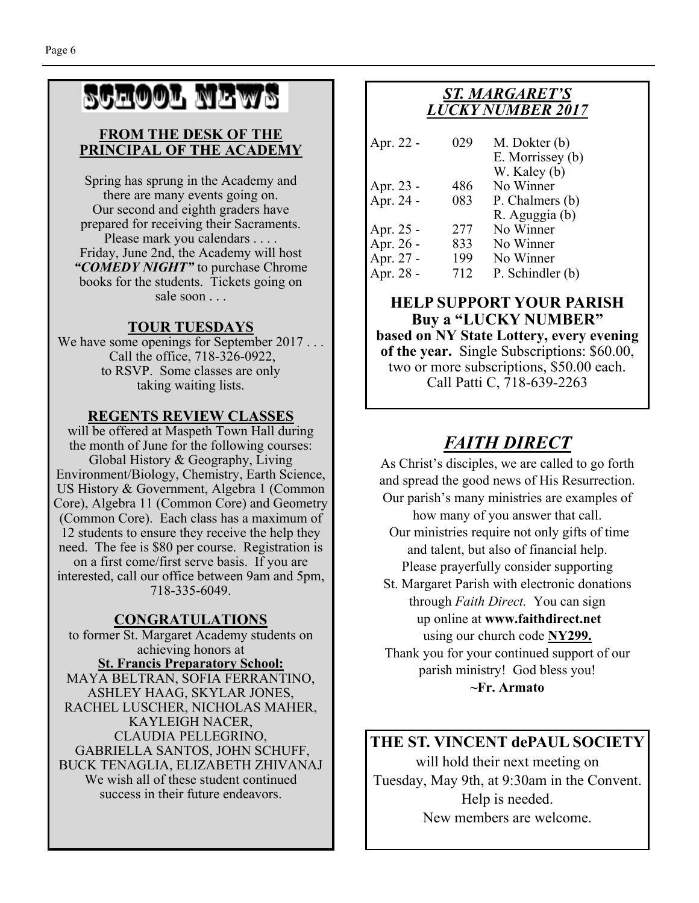# SCHOOL NEWS

#### **FROM THE DESK OF THE PRINCIPAL OF THE ACADEMY**

Spring has sprung in the Academy and there are many events going on. Our second and eighth graders have prepared for receiving their Sacraments. Please mark you calendars . . . . Friday, June 2nd, the Academy will host *"COMEDY NIGHT"* to purchase Chrome books for the students. Tickets going on sale soon . . .

#### **TOUR TUESDAYS**

We have some openings for September 2017... Call the office, 718-326-0922, to RSVP. Some classes are only taking waiting lists.

#### **REGENTS REVIEW CLASSES**

will be offered at Maspeth Town Hall during the month of June for the following courses: Global History & Geography, Living Environment/Biology, Chemistry, Earth Science, US History & Government, Algebra 1 (Common Core), Algebra 11 (Common Core) and Geometry (Common Core). Each class has a maximum of 12 students to ensure they receive the help they need. The fee is \$80 per course. Registration is on a first come/first serve basis. If you are interested, call our office between 9am and 5pm, 718-335-6049.

#### **CONGRATULATIONS**

to former St. Margaret Academy students on achieving honors at **St. Francis Preparatory School:**  MAYA BELTRAN, SOFIA FERRANTINO, ASHLEY HAAG, SKYLAR JONES, RACHEL LUSCHER, NICHOLAS MAHER, KAYLEIGH NACER, CLAUDIA PELLEGRINO, GABRIELLA SANTOS, JOHN SCHUFF, BUCK TENAGLIA, ELIZABETH ZHIVANAJ We wish all of these student continued success in their future endeavors.

## *ST. MARGARET'S LUCKY NUMBER 2017*

| Apr. 22 -              | 029 | M. Dokter (b)<br>E. Morrissey (b) |
|------------------------|-----|-----------------------------------|
|                        |     | W. Kaley (b)                      |
|                        | 486 | No Winner                         |
| Apr. 23 -<br>Apr. 24 - | 083 | P. Chalmers (b)                   |
|                        |     | R. Aguggia (b)                    |
|                        | 277 | No Winner                         |
| Apr. 25 -<br>Apr. 26 - | 833 | No Winner                         |
| Apr. 27 -              | 199 | No Winner                         |
| Apr. 28 -              | 712 | P. Schindler (b)                  |

#### **HELP SUPPORT YOUR PARISH Buy a "LUCKY NUMBER" based on NY State Lottery, every evening of the year.** Single Subscriptions: \$60.00, two or more subscriptions, \$50.00 each. Call Patti C, 718-639-2263

## *FAITH DIRECT*

As Christ's disciples, we are called to go forth and spread the good news of His Resurrection. Our parish's many ministries are examples of

how many of you answer that call. Our ministries require not only gifts of time

and talent, but also of financial help. Please prayerfully consider supporting

St. Margaret Parish with electronic donations through *Faith Direct.* You can sign up online at **www.faithdirect.net**  using our church code **NY299.**  Thank you for your continued support of our parish ministry! God bless you! **~Fr. Armato** 

## **THE ST. VINCENT dePAUL SOCIETY**

will hold their next meeting on Tuesday, May 9th, at 9:30am in the Convent. Help is needed. New members are welcome.